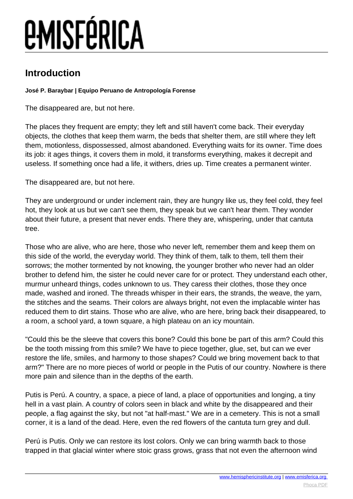# **EMISFÉRICA**

### **Introduction**

#### **José P. Baraybar | Equipo Peruano de Antropología Forense**

The disappeared are, but not here.

The places they frequent are empty; they left and still haven't come back. Their everyday objects, the clothes that keep them warm, the beds that shelter them, are still where they left them, motionless, dispossessed, almost abandoned. Everything waits for its owner. Time does its job: it ages things, it covers them in mold, it transforms everything, makes it decrepit and useless. If something once had a life, it withers, dries up. Time creates a permanent winter.

The disappeared are, but not here.

They are underground or under inclement rain, they are hungry like us, they feel cold, they feel hot, they look at us but we can't see them, they speak but we can't hear them. They wonder about their future, a present that never ends. There they are, whispering, under that cantuta tree.

Those who are alive, who are here, those who never left, remember them and keep them on this side of the world, the everyday world. They think of them, talk to them, tell them their sorrows; the mother tormented by not knowing, the younger brother who never had an older brother to defend him, the sister he could never care for or protect. They understand each other, murmur unheard things, codes unknown to us. They caress their clothes, those they once made, washed and ironed. The threads whisper in their ears, the strands, the weave, the yarn, the stitches and the seams. Their colors are always bright, not even the implacable winter has reduced them to dirt stains. Those who are alive, who are here, bring back their disappeared, to a room, a school yard, a town square, a high plateau on an icy mountain.

"Could this be the sleeve that covers this bone? Could this bone be part of this arm? Could this be the tooth missing from this smile? We have to piece together, glue, set, but can we ever restore the life, smiles, and harmony to those shapes? Could we bring movement back to that arm?" There are no more pieces of world or people in the Putis of our country. Nowhere is there more pain and silence than in the depths of the earth.

Putis is Perú. A country, a space, a piece of land, a place of opportunities and longing, a tiny hell in a vast plain. A country of colors seen in black and white by the disappeared and their people, a flag against the sky, but not "at half-mast." We are in a cemetery. This is not a small corner, it is a land of the dead. Here, even the red flowers of the cantuta turn grey and dull.

Perú is Putis. Only we can restore its lost colors. Only we can bring warmth back to those trapped in that glacial winter where stoic grass grows, grass that not even the afternoon wind